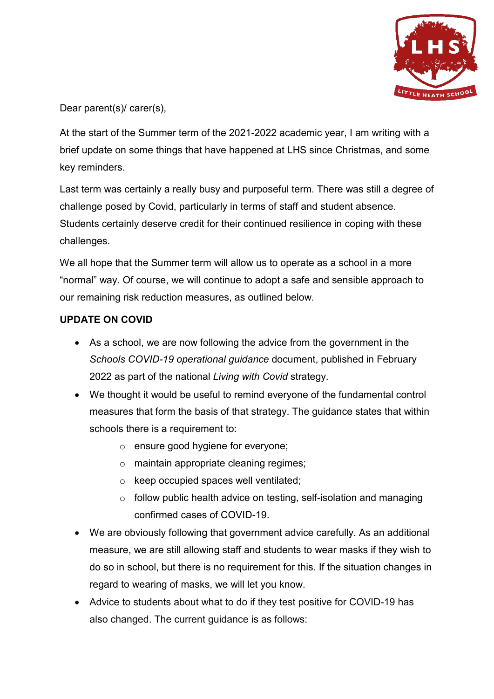

Dear parent(s)/ carer(s),

At the start of the Summer term of the 2021-2022 academic year, I am writing with a brief update on some things that have happened at LHS since Christmas, and some key reminders.

Last term was certainly a really busy and purposeful term. There was still a degree of challenge posed by Covid, particularly in terms of staff and student absence. Students certainly deserve credit for their continued resilience in coping with these challenges.

We all hope that the Summer term will allow us to operate as a school in a more "normal" way. Of course, we will continue to adopt a safe and sensible approach to our remaining risk reduction measures, as outlined below.

### **UPDATE ON COVID**

- As a school, we are now following the advice from the government in the *Schools COVID-19 operational guidance* document, published in February 2022 as part of the national *Living with Covid* strategy.
- We thought it would be useful to remind everyone of the fundamental control measures that form the basis of that strategy. The guidance states that within schools there is a requirement to:
	- o ensure good hygiene for everyone;
	- o maintain appropriate cleaning regimes;
	- o keep occupied spaces well ventilated;
	- $\circ$  follow public health advice on testing, self-isolation and managing confirmed cases of COVID-19.
- We are obviously following that government advice carefully. As an additional measure, we are still allowing staff and students to wear masks if they wish to do so in school, but there is no requirement for this. If the situation changes in regard to wearing of masks, we will let you know.
- Advice to students about what to do if they test positive for COVID-19 has also changed. The current guidance is as follows: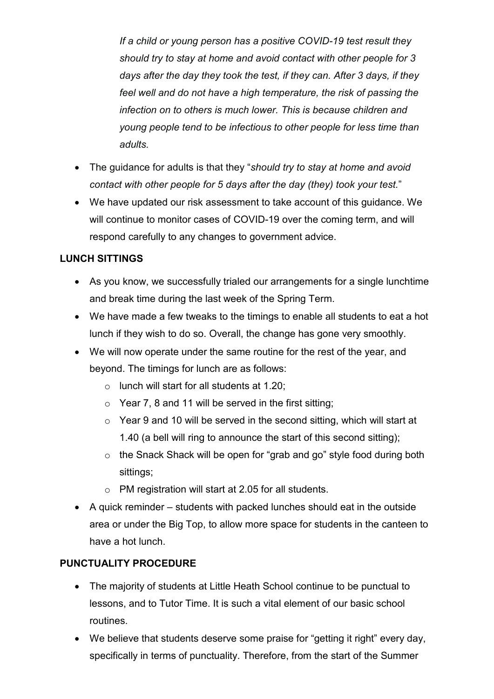*If a child or young person has a positive COVID-19 test result they should try to stay at home and avoid contact with other people for 3 days after the day they took the test, if they can. After 3 days, if they feel well and do not have a high temperature, the risk of passing the infection on to others is much lower. This is because children and young people tend to be infectious to other people for less time than adults.* 

- The guidance for adults is that they "*should try to stay at home and avoid contact with other people for 5 days after the day (they) took your test.*"
- We have updated our risk assessment to take account of this guidance. We will continue to monitor cases of COVID-19 over the coming term, and will respond carefully to any changes to government advice.

# **LUNCH SITTINGS**

- As you know, we successfully trialed our arrangements for a single lunchtime and break time during the last week of the Spring Term.
- We have made a few tweaks to the timings to enable all students to eat a hot lunch if they wish to do so. Overall, the change has gone very smoothly.
- We will now operate under the same routine for the rest of the year, and beyond. The timings for lunch are as follows:
	- $\circ$  lunch will start for all students at 1.20;
	- $\circ$  Year 7, 8 and 11 will be served in the first sitting;
	- $\circ$  Year 9 and 10 will be served in the second sitting, which will start at 1.40 (a bell will ring to announce the start of this second sitting);
	- o the Snack Shack will be open for "grab and go" style food during both sittings;
	- o PM registration will start at 2.05 for all students.
- A quick reminder students with packed lunches should eat in the outside area or under the Big Top, to allow more space for students in the canteen to have a hot lunch.

# **PUNCTUALITY PROCEDURE**

- The majority of students at Little Heath School continue to be punctual to lessons, and to Tutor Time. It is such a vital element of our basic school routines.
- We believe that students deserve some praise for "getting it right" every day, specifically in terms of punctuality. Therefore, from the start of the Summer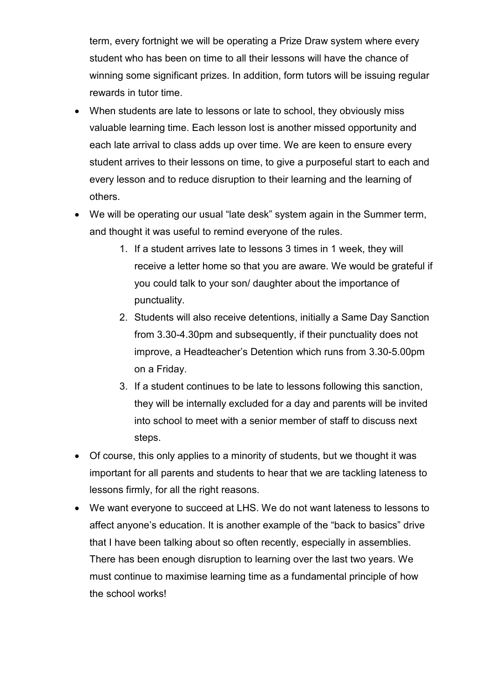term, every fortnight we will be operating a Prize Draw system where every student who has been on time to all their lessons will have the chance of winning some significant prizes. In addition, form tutors will be issuing regular rewards in tutor time.

- When students are late to lessons or late to school, they obviously miss valuable learning time. Each lesson lost is another missed opportunity and each late arrival to class adds up over time. We are keen to ensure every student arrives to their lessons on time, to give a purposeful start to each and every lesson and to reduce disruption to their learning and the learning of others.
- We will be operating our usual "late desk" system again in the Summer term, and thought it was useful to remind everyone of the rules.
	- 1. If a student arrives late to lessons 3 times in 1 week, they will receive a letter home so that you are aware. We would be grateful if you could talk to your son/ daughter about the importance of punctuality.
	- 2. Students will also receive detentions, initially a Same Day Sanction from 3.30-4.30pm and subsequently, if their punctuality does not improve, a Headteacher's Detention which runs from 3.30-5.00pm on a Friday.
	- 3. If a student continues to be late to lessons following this sanction, they will be internally excluded for a day and parents will be invited into school to meet with a senior member of staff to discuss next steps.
- Of course, this only applies to a minority of students, but we thought it was important for all parents and students to hear that we are tackling lateness to lessons firmly, for all the right reasons.
- We want everyone to succeed at LHS. We do not want lateness to lessons to affect anyone's education. It is another example of the "back to basics" drive that I have been talking about so often recently, especially in assemblies. There has been enough disruption to learning over the last two years. We must continue to maximise learning time as a fundamental principle of how the school works!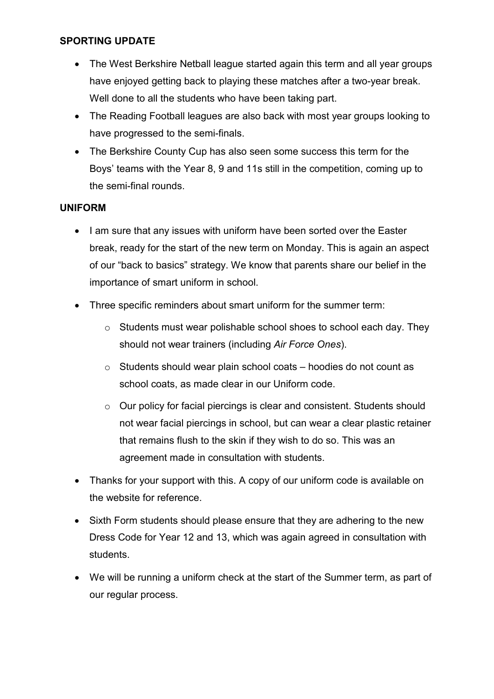#### **SPORTING UPDATE**

- The West Berkshire Netball league started again this term and all year groups have enjoyed getting back to playing these matches after a two-year break. Well done to all the students who have been taking part.
- The Reading Football leagues are also back with most year groups looking to have progressed to the semi-finals.
- The Berkshire County Cup has also seen some success this term for the Boys' teams with the Year 8, 9 and 11s still in the competition, coming up to the semi-final rounds.

#### **UNIFORM**

- I am sure that any issues with uniform have been sorted over the Easter break, ready for the start of the new term on Monday. This is again an aspect of our "back to basics" strategy. We know that parents share our belief in the importance of smart uniform in school.
- Three specific reminders about smart uniform for the summer term:
	- o Students must wear polishable school shoes to school each day. They should not wear trainers (including *Air Force Ones*).
	- $\circ$  Students should wear plain school coats hoodies do not count as school coats, as made clear in our Uniform code.
	- o Our policy for facial piercings is clear and consistent. Students should not wear facial piercings in school, but can wear a clear plastic retainer that remains flush to the skin if they wish to do so. This was an agreement made in consultation with students.
- Thanks for your support with this. A copy of our uniform code is available on the website for reference.
- Sixth Form students should please ensure that they are adhering to the new Dress Code for Year 12 and 13, which was again agreed in consultation with students.
- We will be running a uniform check at the start of the Summer term, as part of our regular process.